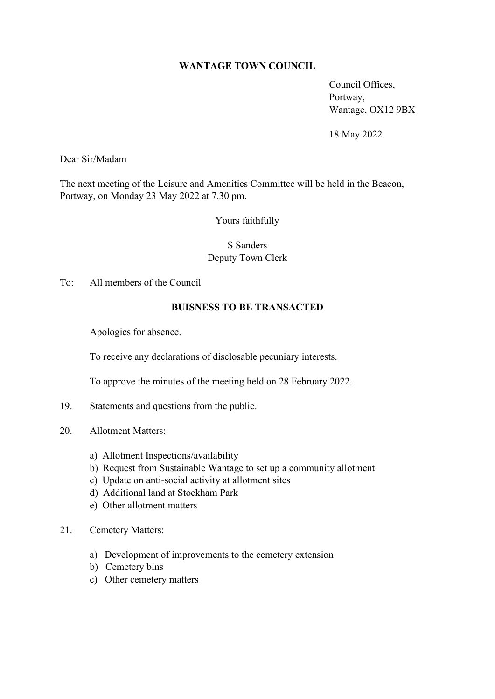## **WANTAGE TOWN COUNCIL**

Council Offices, Portway, Wantage, OX12 9BX

18 May 2022

Dear Sir/Madam

The next meeting of the Leisure and Amenities Committee will be held in the Beacon, Portway, on Monday 23 May 2022 at 7.30 pm.

Yours faithfully

## S Sanders Deputy Town Clerk

To: All members of the Council

## **BUISNESS TO BE TRANSACTED**

Apologies for absence.

To receive any declarations of disclosable pecuniary interests.

To approve the minutes of the meeting held on 28 February 2022.

- 19. Statements and questions from the public.
- 20. Allotment Matters:
	- a) Allotment Inspections/availability
	- b) Request from Sustainable Wantage to set up a community allotment
	- c) Update on anti-social activity at allotment sites
	- d) Additional land at Stockham Park
	- e) Other allotment matters
- 21. Cemetery Matters:
	- a) Development of improvements to the cemetery extension
	- b) Cemetery bins
	- c) Other cemetery matters